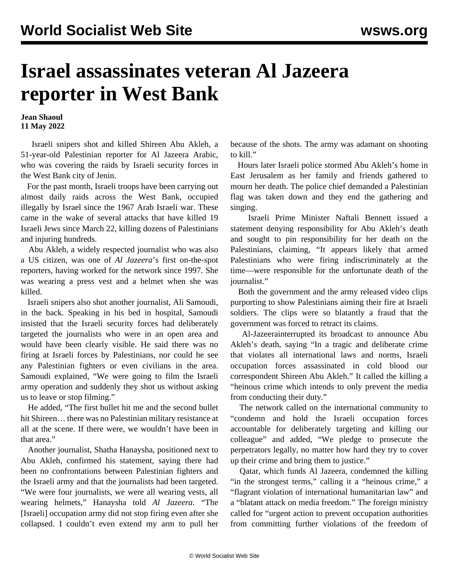## **Israel assassinates veteran Al Jazeera reporter in West Bank**

**Jean Shaoul 11 May 2022**

 Israeli snipers shot and killed Shireen Abu Akleh, a 51-year-old Palestinian reporter for Al Jazeera Arabic, who was covering the raids by Israeli security forces in the West Bank city of Jenin.

 For the past month, Israeli troops have been carrying out almost daily raids across the West Bank, occupied illegally by Israel since the 1967 Arab Israeli war. These came in the wake of several attacks that have killed 19 Israeli Jews since March 22, killing dozens of Palestinians and injuring hundreds.

 Abu Akleh, a widely respected journalist who was also a US citizen, was one of *Al Jazeera*'s first on-the-spot reporters, having worked for the network since 1997. She was wearing a press vest and a helmet when she was killed.

 Israeli snipers also shot another journalist, Ali Samoudi, in the back. Speaking in his bed in hospital, Samoudi insisted that the Israeli security forces had deliberately targeted the journalists who were in an open area and would have been clearly visible. He said there was no firing at Israeli forces by Palestinians, nor could he see any Palestinian fighters or even civilians in the area. Samoudi explained, "We were going to film the Israeli army operation and suddenly they shot us without asking us to leave or stop filming."

 He added, "The first bullet hit me and the second bullet hit Shireen… there was no Palestinian military resistance at all at the scene. If there were, we wouldn't have been in that area."

 Another journalist, Shatha Hanaysha, positioned next to Abu Akleh, confirmed his statement, saying there had been no confrontations between Palestinian fighters and the Israeli army and that the journalists had been targeted. "We were four journalists, we were all wearing vests, all wearing helmets," Hanaysha told *Al Jazeera*. "The [Israeli] occupation army did not stop firing even after she collapsed. I couldn't even extend my arm to pull her because of the shots. The army was adamant on shooting to kill."

 Hours later Israeli police stormed Abu Akleh's home in East Jerusalem as her family and friends gathered to mourn her death. The police chief demanded a Palestinian flag was taken down and they end the gathering and singing.

 Israeli Prime Minister Naftali Bennett issued a statement denying responsibility for Abu Akleh's death and sought to pin responsibility for her death on the Palestinians, claiming, "It appears likely that armed Palestinians who were firing indiscriminately at the time—were responsible for the unfortunate death of the journalist."

 Both the government and the army released video clips purporting to show Palestinians aiming their fire at Israeli soldiers. The clips were so blatantly a fraud that the government was forced to retract its claims.

 Al-Jazeerainterrupted its broadcast to announce Abu Akleh's death, saying "In a tragic and deliberate crime that violates all international laws and norms, Israeli occupation forces assassinated in cold blood our correspondent Shireen Abu Akleh." It called the killing a "heinous crime which intends to only prevent the media from conducting their duty."

 The network called on the international community to "condemn and hold the Israeli occupation forces accountable for deliberately targeting and killing our colleague" and added, "We pledge to prosecute the perpetrators legally, no matter how hard they try to cover up their crime and bring them to justice."

 Qatar, which funds Al Jazeera, condemned the killing "in the strongest terms," calling it a "heinous crime," a "flagrant violation of international humanitarian law" and a "blatant attack on media freedom." The foreign ministry called for "urgent action to prevent occupation authorities from committing further violations of the freedom of